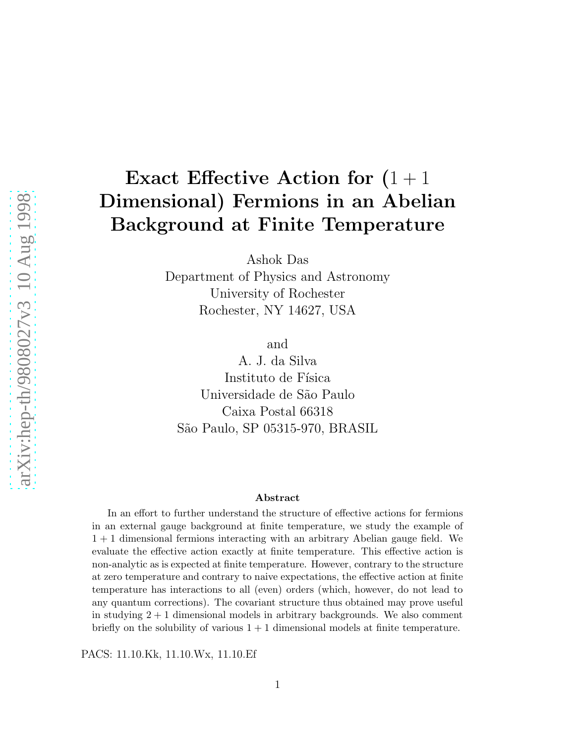# Exact Effective Action for  $(1 + 1)$ Dimensional) Fermions in an Abelian Background at Finite Temperature

Ashok Das

Department of Physics and Astronomy University of Rochester Rochester, NY 14627, USA

and

A. J. da Silva Instituto de Física Universidade de S˜ao Paulo Caixa Postal 66318 S˜ao Paulo, SP 05315-970, BRASIL

#### Abstract

In an effort to further understand the structure of effective actions for fermions in an external gauge background at finite temperature, we study the example of 1 + 1 dimensional fermions interacting with an arbitrary Abelian gauge field. We evaluate the effective action exactly at finite temperature. This effective action is non-analytic as is expected at finite temperature. However, contrary to the structure at zero temperature and contrary to naive expectations, the effective action at finite temperature has interactions to all (even) orders (which, however, do not lead to any quantum corrections). The covariant structure thus obtained may prove useful in studying  $2 + 1$  dimensional models in arbitrary backgrounds. We also comment briefly on the solubility of various  $1 + 1$  dimensional models at finite temperature.

PACS: 11.10.Kk, 11.10.Wx, 11.10.Ef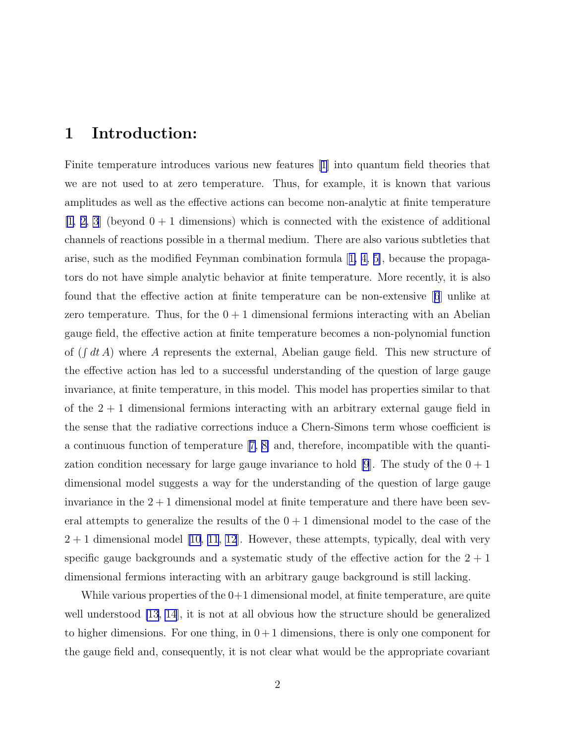#### 1 Introduction:

Finite temperature introduces various new features [\[1\]](#page-19-0) into quantum field theories that we are not used to at zero temperature. Thus, for example, it is known that various amplitudes as well as the effective actions can become non-analytic at finite temperature  $[1, 2, 3]$  $[1, 2, 3]$  (beyond  $0 + 1$  dimensions) which is connected with the existence of additional channels of reactions possible in a thermal medium. There are also various subtleties that arise, such as the modified Feynman combination formula[[1, 4, 5\]](#page-19-0), because the propagators do not have simple analytic behavior at finite temperature. More recently, it is also found that the effective action at finite temperature can be non-extensive[[6](#page-19-0)] unlike at zero temperature. Thus, for the  $0+1$  dimensional fermions interacting with an Abelian gauge field, the effective action at finite temperature becomes a non-polynomial function of  $(\int dt A)$  where A represents the external, Abelian gauge field. This new structure of the effective action has led to a successful understanding of the question of large gauge invariance, at finite temperature, in this model. This model has properties similar to that of the  $2 + 1$  dimensional fermions interacting with an arbitrary external gauge field in the sense that the radiative corrections induce a Chern-Simons term whose coefficient is a continuous function of temperature[[7, 8\]](#page-19-0) and, therefore, incompatible with the quanti-zation condition necessary for large gauge invariance to hold [\[9](#page-19-0)]. The study of the  $0+1$ dimensional model suggests a way for the understanding of the question of large gauge invariance in the  $2+1$  dimensional model at finite temperature and there have been several attempts to generalize the results of the  $0 + 1$  dimensional model to the case of the  $2 + 1$  dimensional model [\[10, 11](#page-19-0), [12](#page-19-0)]. However, these attempts, typically, deal with very specific gauge backgrounds and a systematic study of the effective action for the  $2 + 1$ dimensional fermions interacting with an arbitrary gauge background is still lacking.

While various properties of the  $0+1$  dimensional model, at finite temperature, are quite well understood [\[13](#page-19-0), [14](#page-19-0)], it is not at all obvious how the structure should be generalized to higher dimensions. For one thing, in  $0+1$  dimensions, there is only one component for the gauge field and, consequently, it is not clear what would be the appropriate covariant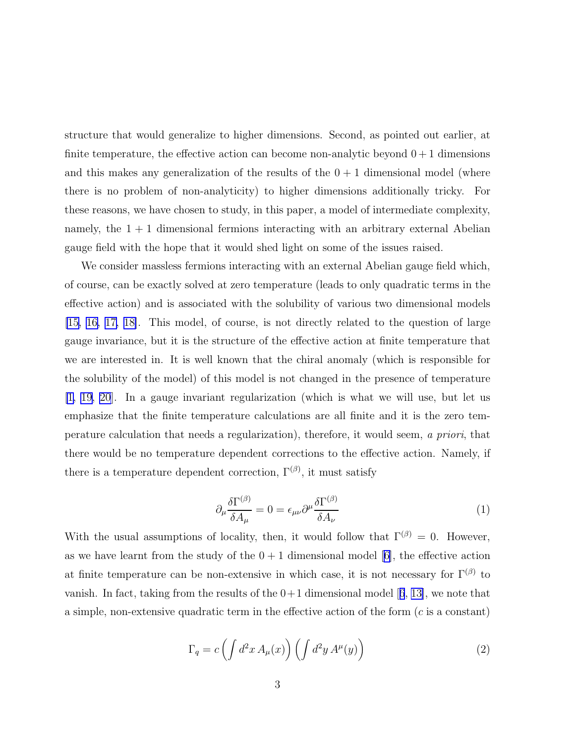structure that would generalize to higher dimensions. Second, as pointed out earlier, at finite temperature, the effective action can become non-analytic beyond  $0+1$  dimensions and this makes any generalization of the results of the  $0 + 1$  dimensional model (where there is no problem of non-analyticity) to higher dimensions additionally tricky. For these reasons, we have chosen to study, in this paper, a model of intermediate complexity, namely, the  $1 + 1$  dimensional fermions interacting with an arbitrary external Abelian gauge field with the hope that it would shed light on some of the issues raised.

We consider massless fermions interacting with an external Abelian gauge field which, of course, can be exactly solved at zero temperature (leads to only quadratic terms in the effective action) and is associated with the solubility of various two dimensional models [\[15, 16, 17, 18\]](#page-20-0). This model, of course, is not directly related to the question of large gauge invariance, but it is the structure of the effective action at finite temperature that we are interested in. It is well known that the chiral anomaly (which is responsible for the solubility of the model) of this model is not changed in the presence of temperature [\[1,](#page-19-0) [19](#page-20-0), [20](#page-20-0)]. In a gauge invariant regularization (which is what we will use, but let us emphasize that the finite temperature calculations are all finite and it is the zero temperature calculation that needs a regularization), therefore, it would seem, a priori, that there would be no temperature dependent corrections to the effective action. Namely, if there is a temperature dependent correction,  $\Gamma^{(\beta)}$ , it must satisfy

$$
\partial_{\mu} \frac{\delta \Gamma^{(\beta)}}{\delta A_{\mu}} = 0 = \epsilon_{\mu\nu} \partial^{\mu} \frac{\delta \Gamma^{(\beta)}}{\delta A_{\nu}} \tag{1}
$$

With the usual assumptions of locality, then, it would follow that  $\Gamma^{(\beta)} = 0$ . However, as we have learnt from the study of the  $0 + 1$  dimensional model [\[6\]](#page-19-0), the effective action at finite temperature can be non-extensive in which case, it is not necessary for  $\Gamma^{(\beta)}$  to vanish.In fact, taking from the results of the  $0+1$  dimensional model [[6](#page-19-0), [13\]](#page-19-0), we note that a simple, non-extensive quadratic term in the effective action of the form (c is a constant)

$$
\Gamma_q = c \left( \int d^2 x \, A_\mu(x) \right) \left( \int d^2 y \, A^\mu(y) \right) \tag{2}
$$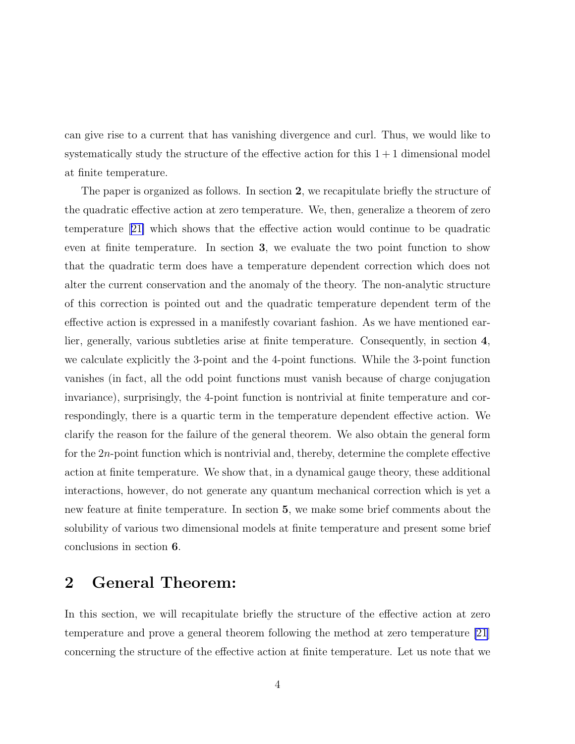can give rise to a current that has vanishing divergence and curl. Thus, we would like to systematically study the structure of the effective action for this  $1+1$  dimensional model at finite temperature.

The paper is organized as follows. In section 2, we recapitulate briefly the structure of the quadratic effective action at zero temperature. We, then, generalize a theorem of zero temperature[[21\]](#page-20-0) which shows that the effective action would continue to be quadratic even at finite temperature. In section 3, we evaluate the two point function to show that the quadratic term does have a temperature dependent correction which does not alter the current conservation and the anomaly of the theory. The non-analytic structure of this correction is pointed out and the quadratic temperature dependent term of the effective action is expressed in a manifestly covariant fashion. As we have mentioned earlier, generally, various subtleties arise at finite temperature. Consequently, in section 4, we calculate explicitly the 3-point and the 4-point functions. While the 3-point function vanishes (in fact, all the odd point functions must vanish because of charge conjugation invariance), surprisingly, the 4-point function is nontrivial at finite temperature and correspondingly, there is a quartic term in the temperature dependent effective action. We clarify the reason for the failure of the general theorem. We also obtain the general form for the 2n-point function which is nontrivial and, thereby, determine the complete effective action at finite temperature. We show that, in a dynamical gauge theory, these additional interactions, however, do not generate any quantum mechanical correction which is yet a new feature at finite temperature. In section 5, we make some brief comments about the solubility of various two dimensional models at finite temperature and present some brief conclusions in section 6.

## 2 General Theorem:

In this section, we will recapitulate briefly the structure of the effective action at zero temperature and prove a general theorem following the method at zero temperature [\[21](#page-20-0)] concerning the structure of the effective action at finite temperature. Let us note that we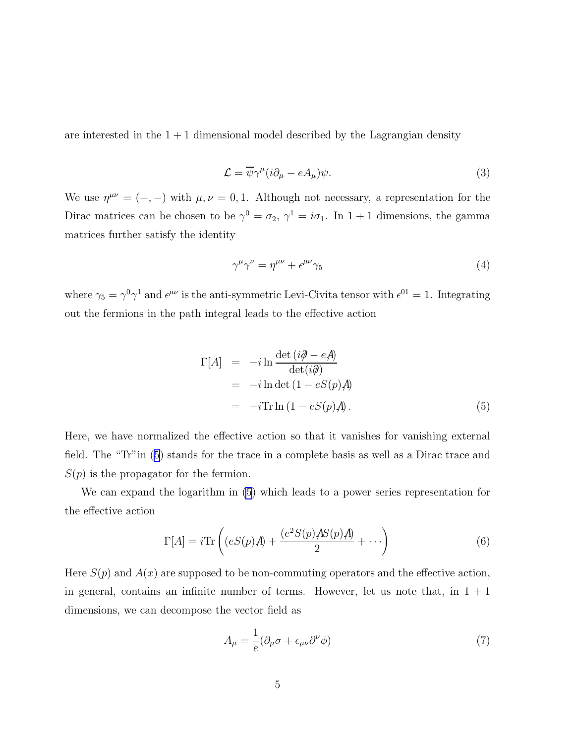<span id="page-4-0"></span>are interested in the  $1 + 1$  dimensional model described by the Lagrangian density

$$
\mathcal{L} = \overline{\psi}\gamma^{\mu}(i\partial_{\mu} - eA_{\mu})\psi.
$$
\n(3)

We use  $\eta^{\mu\nu} = (+,-)$  with  $\mu, \nu = 0, 1$ . Although not necessary, a representation for the Dirac matrices can be chosen to be  $\gamma^0 = \sigma_2$ ,  $\gamma^1 = i\sigma_1$ . In  $1+1$  dimensions, the gamma matrices further satisfy the identity

$$
\gamma^{\mu}\gamma^{\nu} = \eta^{\mu\nu} + \epsilon^{\mu\nu}\gamma_5 \tag{4}
$$

where  $\gamma_5 = \gamma^0 \gamma^1$  and  $\epsilon^{\mu\nu}$  is the anti-symmetric Levi-Civita tensor with  $\epsilon^{01} = 1$ . Integrating out the fermions in the path integral leads to the effective action

$$
\Gamma[A] = -i \ln \frac{\det (i\partial - eA)}{\det (i\partial)} \n= -i \ln \det (1 - eS(p)A) \n= -i \text{Tr} \ln (1 - eS(p)A).
$$
\n(5)

Here, we have normalized the effective action so that it vanishes for vanishing external field. The "Tr"in (5) stands for the trace in a complete basis as well as a Dirac trace and  $S(p)$  is the propagator for the fermion.

We can expand the logarithm in (5) which leads to a power series representation for the effective action

$$
\Gamma[A] = i \text{Tr} \left( (eS(p)A) + \frac{(e^2 S(p)AS(p)A)}{2} + \cdots \right)
$$
 (6)

Here  $S(p)$  and  $A(x)$  are supposed to be non-commuting operators and the effective action, in general, contains an infinite number of terms. However, let us note that, in  $1 + 1$ dimensions, we can decompose the vector field as

$$
A_{\mu} = \frac{1}{e} (\partial_{\mu} \sigma + \epsilon_{\mu\nu} \partial^{\nu} \phi)
$$
\n(7)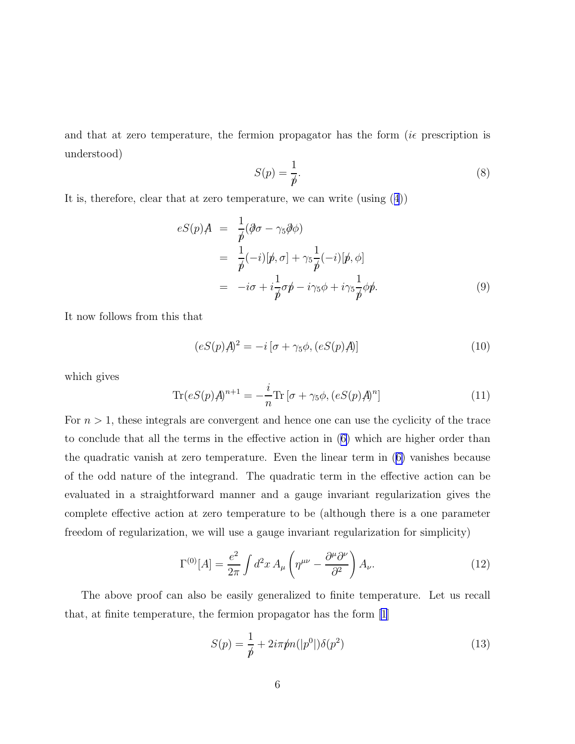<span id="page-5-0"></span>and that at zero temperature, the fermion propagator has the form  $(i\epsilon$  prescription is understood)

$$
S(p) = \frac{1}{p}.\tag{8}
$$

It is, therefore, clear that at zero temperature, we can write (using([4](#page-4-0)))

$$
eS(p)A = \frac{1}{p}(\partial \sigma - \gamma_5 \partial \phi)
$$
  
= 
$$
\frac{1}{p}(-i)[p, \sigma] + \gamma_5 \frac{1}{p}(-i)[p, \phi]
$$
  
= 
$$
-i\sigma + i\frac{1}{p}\sigma p - i\gamma_5 \phi + i\gamma_5 \frac{1}{p}\phi p.
$$
 (9)

It now follows from this that

$$
(eS(p)A)^{2} = -i\left[\sigma + \gamma_{5}\phi, (eS(p)A)\right]
$$
\n(10)

which gives

$$
\text{Tr}(eS(p)A)^{n+1} = -\frac{i}{n}\text{Tr}\left[\sigma + \gamma_5\phi, (eS(p)A)^n\right]
$$
\n(11)

For  $n > 1$ , these integrals are convergent and hence one can use the cyclicity of the trace to conclude that all the terms in the effective action in([6\)](#page-4-0) which are higher order than the quadratic vanish at zero temperature. Even the linear term in([6\)](#page-4-0) vanishes because of the odd nature of the integrand. The quadratic term in the effective action can be evaluated in a straightforward manner and a gauge invariant regularization gives the complete effective action at zero temperature to be (although there is a one parameter freedom of regularization, we will use a gauge invariant regularization for simplicity)

$$
\Gamma^{(0)}[A] = \frac{e^2}{2\pi} \int d^2x \, A_\mu \left( \eta^{\mu\nu} - \frac{\partial^\mu \partial^\nu}{\partial^2} \right) A_\nu. \tag{12}
$$

The above proof can also be easily generalized to finite temperature. Let us recall that, at finite temperature, the fermion propagator has the form [\[1\]](#page-19-0)

$$
S(p) = \frac{1}{p} + 2i\pi pn(|p^0|) \delta(p^2)
$$
 (13)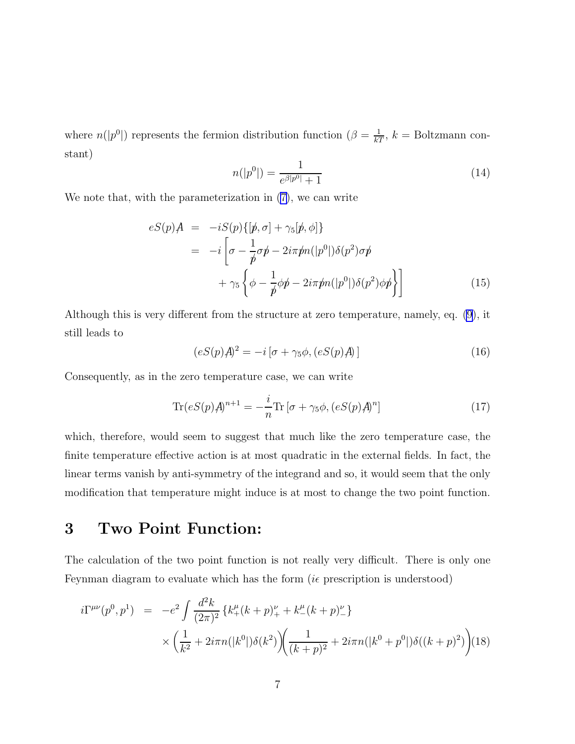<span id="page-6-0"></span>where  $n(|p^0|)$  represents the fermion distribution function  $(\beta = \frac{1}{kT}, k =$  Boltzmann constant)

$$
n(|p^0|) = \frac{1}{e^{\beta|p^0|} + 1} \tag{14}
$$

We note that, with the parameterization in [\(7\)](#page-4-0), we can write

$$
eS(p)A = -iS(p)\{[\not p, \sigma] + \gamma_5[\not p, \phi]\}
$$
  
= 
$$
-i\left[\sigma - \frac{1}{\not p}\sigma\not p - 2i\pi\not p n(|p^0|)\delta(p^2)\sigma\not p + \gamma_5\left\{\phi - \frac{1}{\not p}\phi\not p - 2i\pi\not p n(|p^0|)\delta(p^2)\phi\not p\right\}\right]
$$
(15)

Although this is very different from the structure at zero temperature, namely, eq. [\(9](#page-5-0)), it still leads to

$$
(eS(p)A)^{2} = -i\left[\sigma + \gamma_{5}\phi, (eS(p)A)\right]
$$
\n(16)

Consequently, as in the zero temperature case, we can write

$$
\text{Tr}(eS(p)A)^{n+1} = -\frac{i}{n}\text{Tr}\left[\sigma + \gamma_5\phi, (eS(p)A)^n\right]
$$
\n(17)

which, therefore, would seem to suggest that much like the zero temperature case, the finite temperature effective action is at most quadratic in the external fields. In fact, the linear terms vanish by anti-symmetry of the integrand and so, it would seem that the only modification that temperature might induce is at most to change the two point function.

# 3 Two Point Function:

The calculation of the two point function is not really very difficult. There is only one Feynman diagram to evaluate which has the form ( $i\epsilon$  prescription is understood)

$$
i\Gamma^{\mu\nu}(p^0, p^1) = -e^2 \int \frac{d^2k}{(2\pi)^2} \left\{ k_+^{\mu}(k+p)_+^{\nu} + k_-^{\mu}(k+p)_-^{\nu} \right\} \times \left( \frac{1}{k^2} + 2i\pi n(|k^0|) \delta(k^2) \right) \left( \frac{1}{(k+p)^2} + 2i\pi n(|k^0 + p^0|) \delta((k+p)^2) \right) (18)
$$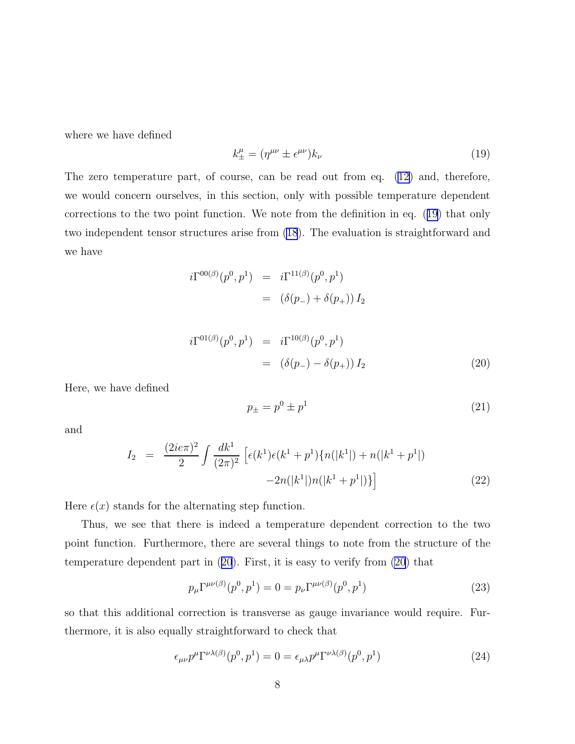<span id="page-7-0"></span>where we have defined

$$
k_{\pm}^{\mu} = (\eta^{\mu\nu} \pm \epsilon^{\mu\nu}) k_{\nu} \tag{19}
$$

The zero temperature part, of course, can be read out from eq. [\(12\)](#page-5-0) and, therefore, we would concern ourselves, in this section, only with possible temperature dependent corrections to the two point function. We note from the definition in eq. (19) that only two independent tensor structures arise from [\(18](#page-6-0)). The evaluation is straightforward and we have

$$
i\Gamma^{00(\beta)}(p^0, p^1) = i\Gamma^{11(\beta)}(p^0, p^1) = (\delta(p_-) + \delta(p_+)) I_2
$$

$$
i\Gamma^{01(\beta)}(p^0, p^1) = i\Gamma^{10(\beta)}(p^0, p^1)
$$
  
=  $(\delta(p_-) - \delta(p_+)) I_2$  (20)

Here, we have defined

$$
p_{\pm} = p^0 \pm p^1 \tag{21}
$$

and

$$
I_2 = \frac{(2ie\pi)^2}{2} \int \frac{dk^1}{(2\pi)^2} \left[ \epsilon(k^1)\epsilon(k^1+p^1)\{n(|k^1|)+n(|k^1+p^1|) -2n(|k^1|)n(|k^1+p^1|) \} \right]
$$
(22)

Here  $\epsilon(x)$  stands for the alternating step function.

Thus, we see that there is indeed a temperature dependent correction to the two point function. Furthermore, there are several things to note from the structure of the temperature dependent part in (20). First, it is easy to verify from (20) that

$$
p_{\mu} \Gamma^{\mu\nu(\beta)}(p^0, p^1) = 0 = p_{\nu} \Gamma^{\mu\nu(\beta)}(p^0, p^1)
$$
\n(23)

so that this additional correction is transverse as gauge invariance would require. Furthermore, it is also equally straightforward to check that

$$
\epsilon_{\mu\nu} p^{\mu} \Gamma^{\nu\lambda(\beta)}(p^0, p^1) = 0 = \epsilon_{\mu\lambda} p^{\mu} \Gamma^{\nu\lambda(\beta)}(p^0, p^1)
$$
\n(24)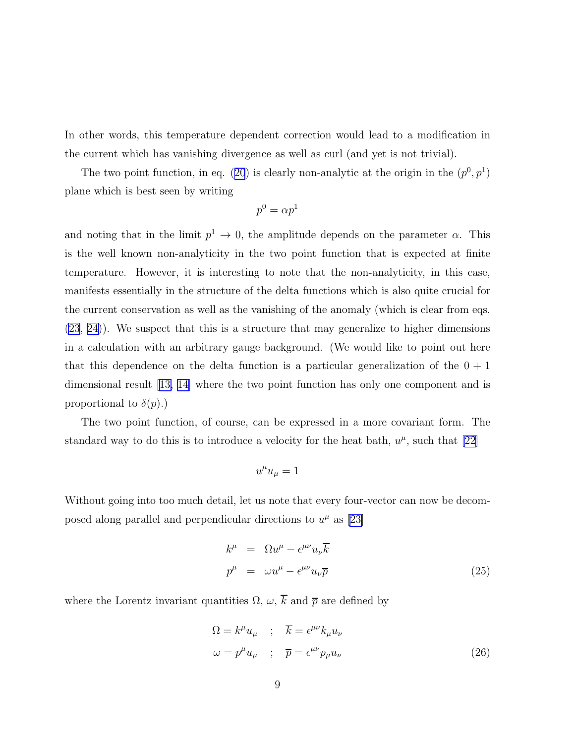<span id="page-8-0"></span>In other words, this temperature dependent correction would lead to a modification in the current which has vanishing divergence as well as curl (and yet is not trivial).

Thetwo point function, in eq. ([20](#page-7-0)) is clearly non-analytic at the origin in the  $(p^0, p^1)$ plane which is best seen by writing

$$
p^0=\alpha p^1
$$

and noting that in the limit  $p^1 \to 0$ , the amplitude depends on the parameter  $\alpha$ . This is the well known non-analyticity in the two point function that is expected at finite temperature. However, it is interesting to note that the non-analyticity, in this case, manifests essentially in the structure of the delta functions which is also quite crucial for the current conservation as well as the vanishing of the anomaly (which is clear from eqs. [\(23](#page-7-0), [24\)](#page-7-0)). We suspect that this is a structure that may generalize to higher dimensions in a calculation with an arbitrary gauge background. (We would like to point out here that this dependence on the delta function is a particular generalization of the  $0 + 1$ dimensional result[[13, 14\]](#page-19-0) where the two point function has only one component and is proportional to  $\delta(p)$ .)

The two point function, of course, can be expressed in a more covariant form. The standardway to do this is to introduce a velocity for the heat bath,  $u^{\mu}$ , such that [[22\]](#page-20-0)

$$
u^{\mu}u_{\mu}=1
$$

Without going into too much detail, let us note that every four-vector can now be decomposedalong parallel and perpendicular directions to  $u^{\mu}$  as [[23\]](#page-20-0)

$$
k^{\mu} = \Omega u^{\mu} - \epsilon^{\mu\nu} u_{\nu} \overline{k}
$$
  

$$
p^{\mu} = \omega u^{\mu} - \epsilon^{\mu\nu} u_{\nu} \overline{p}
$$
 (25)

where the Lorentz invariant quantities  $\Omega$ ,  $\omega$ ,  $\overline{k}$  and  $\overline{p}$  are defined by

$$
\Omega = k^{\mu} u_{\mu} \quad ; \quad \overline{k} = \epsilon^{\mu\nu} k_{\mu} u_{\nu}
$$

$$
\omega = p^{\mu} u_{\mu} \quad ; \quad \overline{p} = \epsilon^{\mu\nu} p_{\mu} u_{\nu} \tag{26}
$$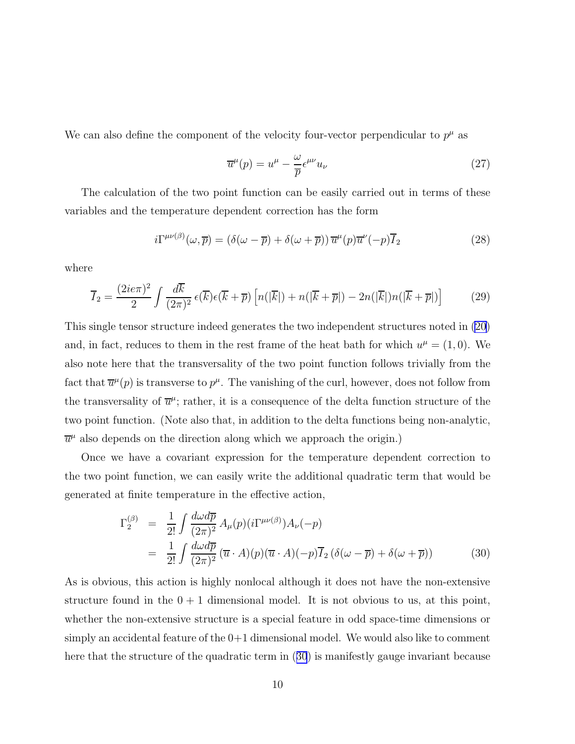<span id="page-9-0"></span>We can also define the component of the velocity four-vector perpendicular to  $p^{\mu}$  as

$$
\overline{u}^{\mu}(p) = u^{\mu} - \frac{\omega}{\overline{p}} \epsilon^{\mu\nu} u_{\nu}
$$
\n(27)

The calculation of the two point function can be easily carried out in terms of these variables and the temperature dependent correction has the form

$$
i\Gamma^{\mu\nu(\beta)}(\omega,\overline{p}) = (\delta(\omega-\overline{p}) + \delta(\omega+\overline{p}))\,\overline{u}^{\mu}(p)\overline{u}^{\nu}(-p)\overline{I}_2
$$
\n(28)

where

$$
\overline{I}_2 = \frac{(2ie\pi)^2}{2} \int \frac{d\overline{k}}{(2\pi)^2} \epsilon(\overline{k})\epsilon(\overline{k} + \overline{p}) \left[ n(|\overline{k}|) + n(|\overline{k} + \overline{p}|) - 2n(|\overline{k}|)n(|\overline{k} + \overline{p}|) \right]
$$
(29)

This single tensor structure indeed generates the two independent structures noted in [\(20\)](#page-7-0) and, in fact, reduces to them in the rest frame of the heat bath for which  $u^{\mu} = (1,0)$ . We also note here that the transversality of the two point function follows trivially from the fact that  $\overline{u}^{\mu}(p)$  is transverse to  $p^{\mu}$ . The vanishing of the curl, however, does not follow from the transversality of  $\overline{u}^{\mu}$ ; rather, it is a consequence of the delta function structure of the two point function. (Note also that, in addition to the delta functions being non-analytic,  $\overline{u}^{\mu}$  also depends on the direction along which we approach the origin.)

Once we have a covariant expression for the temperature dependent correction to the two point function, we can easily write the additional quadratic term that would be generated at finite temperature in the effective action,

$$
\Gamma_2^{(\beta)} = \frac{1}{2!} \int \frac{d\omega d\overline{p}}{(2\pi)^2} A_{\mu}(p) (i\Gamma^{\mu\nu(\beta)}) A_{\nu}(-p)
$$
  

$$
= \frac{1}{2!} \int \frac{d\omega d\overline{p}}{(2\pi)^2} (\overline{u} \cdot A)(p) (\overline{u} \cdot A)(-p) \overline{I}_2 (\delta(\omega - \overline{p}) + \delta(\omega + \overline{p}))
$$
(30)

As is obvious, this action is highly nonlocal although it does not have the non-extensive structure found in the  $0 + 1$  dimensional model. It is not obvious to us, at this point, whether the non-extensive structure is a special feature in odd space-time dimensions or simply an accidental feature of the 0+1 dimensional model. We would also like to comment here that the structure of the quadratic term in (30) is manifestly gauge invariant because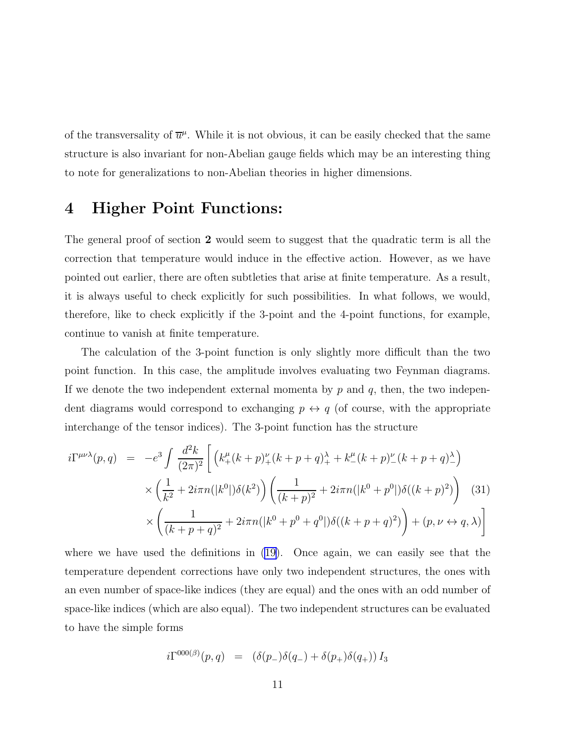<span id="page-10-0"></span>of the transversality of  $\overline{u}^{\mu}$ . While it is not obvious, it can be easily checked that the same structure is also invariant for non-Abelian gauge fields which may be an interesting thing to note for generalizations to non-Abelian theories in higher dimensions.

## 4 Higher Point Functions:

The general proof of section 2 would seem to suggest that the quadratic term is all the correction that temperature would induce in the effective action. However, as we have pointed out earlier, there are often subtleties that arise at finite temperature. As a result, it is always useful to check explicitly for such possibilities. In what follows, we would, therefore, like to check explicitly if the 3-point and the 4-point functions, for example, continue to vanish at finite temperature.

The calculation of the 3-point function is only slightly more difficult than the two point function. In this case, the amplitude involves evaluating two Feynman diagrams. If we denote the two independent external momenta by  $p$  and  $q$ , then, the two independent diagrams would correspond to exchanging  $p \leftrightarrow q$  (of course, with the appropriate interchange of the tensor indices). The 3-point function has the structure

$$
i\Gamma^{\mu\nu\lambda}(p,q) = -e^3 \int \frac{d^2k}{(2\pi)^2} \left[ \left( k_+^{\mu}(k+p)_+^{\nu}(k+p+q)_+^{\lambda} + k_-^{\mu}(k+p)_-^{\nu}(k+p+q)_-^{\lambda} \right) \times \left( \frac{1}{k^2} + 2i\pi n(|k^0|) \delta(k^2) \right) \left( \frac{1}{(k+p)^2} + 2i\pi n(|k^0+p^0|) \delta((k+p)^2) \right) \right] (31)
$$

$$
\times \left( \frac{1}{(k+p+q)^2} + 2i\pi n(|k^0+p^0+q^0|) \delta((k+p+q)^2) \right) + (p, \nu \leftrightarrow q, \lambda)
$$

where we have used the definitions in  $(19)$ . Once again, we can easily see that the temperature dependent corrections have only two independent structures, the ones with an even number of space-like indices (they are equal) and the ones with an odd number of space-like indices (which are also equal). The two independent structures can be evaluated to have the simple forms

$$
i\Gamma^{000(\beta)}(p,q) = (\delta(p_-)\delta(q_-) + \delta(p_+)\delta(q_+)) I_3
$$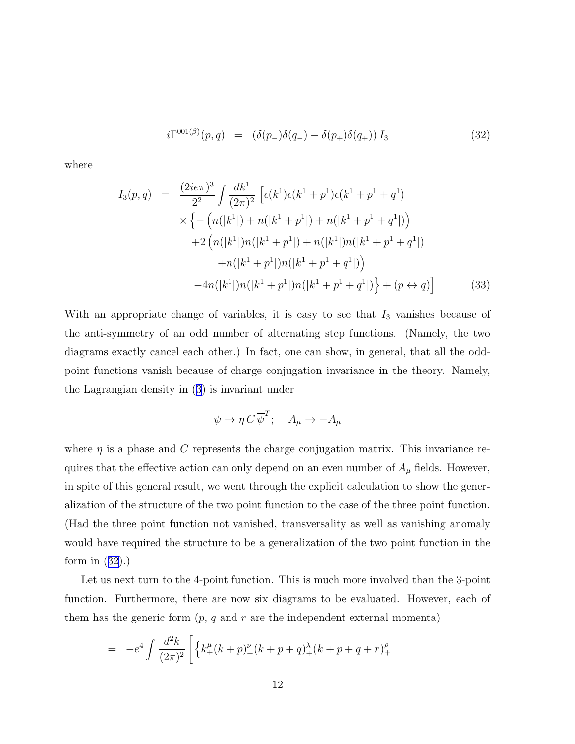$$
i\Gamma^{001(\beta)}(p,q) = (\delta(p_-)\delta(q_-) - \delta(p_+)\delta(q_+)) I_3 \tag{32}
$$

where

$$
I_3(p,q) = \frac{(2ie\pi)^3}{2^2} \int \frac{dk^1}{(2\pi)^2} \left[ \epsilon(k^1)\epsilon(k^1+p^1)\epsilon(k^1+p^1+q^1) \right.
$$
  
 
$$
\times \left\{ -\left( n(|k^1|) + n(|k^1+p^1|) + n(|k^1+p^1+q^1|) \right) \right.
$$
  
 
$$
+ 2\left( n(|k^1|)n(|k^1+p^1|) + n(|k^1|)n(|k^1+p^1+q^1|) \right. \\ \left. + n(|k^1+p^1|)n(|k^1+p^1+q^1|) \right)
$$
  
 
$$
-4n(|k^1|)n(|k^1+p^1|)n(|k^1+p^1+q^1|) + (p \leftrightarrow q) \right]
$$
(33)

With an appropriate change of variables, it is easy to see that  $I_3$  vanishes because of the anti-symmetry of an odd number of alternating step functions. (Namely, the two diagrams exactly cancel each other.) In fact, one can show, in general, that all the oddpoint functions vanish because of charge conjugation invariance in the theory. Namely, the Lagrangian density in([3\)](#page-4-0) is invariant under

$$
\psi \to \eta C \,\overline{\psi}^T; \quad A_{\mu} \to -A_{\mu}
$$

where  $\eta$  is a phase and C represents the charge conjugation matrix. This invariance requires that the effective action can only depend on an even number of  $A_\mu$  fields. However, in spite of this general result, we went through the explicit calculation to show the generalization of the structure of the two point function to the case of the three point function. (Had the three point function not vanished, transversality as well as vanishing anomaly would have required the structure to be a generalization of the two point function in the formin  $(32)$  $(32)$  $(32)$ .)

Let us next turn to the 4-point function. This is much more involved than the 3-point function. Furthermore, there are now six diagrams to be evaluated. However, each of them has the generic form  $(p, q \text{ and } r \text{ are the independent external momenta)$ 

$$
= -e^4 \int \frac{d^2k}{(2\pi)^2} \left[ \left\{ k_+^{\mu} (k+p)_+^{\nu} (k+p+q)_+^{\lambda} (k+p+q+r)_+^{\rho} \right\} \right]
$$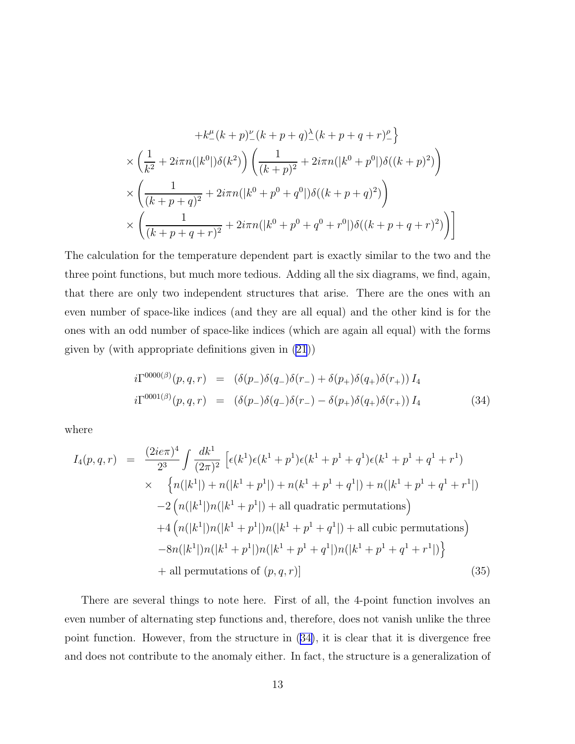$$
+k_{-}^{\mu}(k+p)\zeta(k+p+q)\zeta(k+p+q+p)\zeta
$$
  

$$
\times \left(\frac{1}{k^{2}}+2i\pi n(|k^{0}|)\delta(k^{2})\right)\left(\frac{1}{(k+p)^{2}}+2i\pi n(|k^{0}+p^{0}|)\delta((k+p)^{2})\right)
$$
  

$$
\times \left(\frac{1}{(k+p+q)^{2}}+2i\pi n(|k^{0}+p^{0}+q^{0}|)\delta((k+p+q)^{2})\right)
$$
  

$$
\times \left(\frac{1}{(k+p+q+r)^{2}}+2i\pi n(|k^{0}+p^{0}+q^{0}+r^{0}|)\delta((k+p+q+r)^{2})\right)
$$

The calculation for the temperature dependent part is exactly similar to the two and the three point functions, but much more tedious. Adding all the six diagrams, we find, again, that there are only two independent structures that arise. There are the ones with an even number of space-like indices (and they are all equal) and the other kind is for the ones with an odd number of space-like indices (which are again all equal) with the forms given by (with appropriate definitions given in [\(21](#page-7-0)))

$$
i\Gamma^{0000(\beta)}(p,q,r) = (\delta(p_-)\delta(q_-)\delta(r_-) + \delta(p_+)\delta(q_+)\delta(r_+)) I_4
$$
  

$$
i\Gamma^{0001(\beta)}(p,q,r) = (\delta(p_-)\delta(q_-)\delta(r_-) - \delta(p_+)\delta(q_+)\delta(r_+)) I_4
$$
 (34)

where

$$
I_4(p,q,r) = \frac{(2ie\pi)^4}{2^3} \int \frac{dk^1}{(2\pi)^2} \left[ \epsilon(k^1)\epsilon(k^1+p^1)\epsilon(k^1+p^1+q^1)\epsilon(k^1+p^1+q^1+r^1) \right.
$$
  
\n
$$
\times \left\{ n(|k^1|) + n(|k^1+p^1|) + n(k^1+p^1+q^1|) + n(|k^1+p^1+q^1+r^1|) \right\}
$$
  
\n
$$
-2 \left( n(|k^1|)n(|k^1+p^1|) + \text{all quadratic permutations} \right)
$$
  
\n
$$
+4 \left( n(|k^1|)n(|k^1+p^1|)n(|k^1+p^1+q^1|) + \text{all cubic permutations} \right)
$$
  
\n
$$
-8n(|k^1|)n(|k^1+p^1|)n(|k^1+p^1+q^1|)n(|k^1+p^1+r^1|) \right\}
$$
  
\n
$$
+ \text{all permutations of } (p,q,r)] \tag{35}
$$

There are several things to note here. First of all, the 4-point function involves an even number of alternating step functions and, therefore, does not vanish unlike the three point function. However, from the structure in (34), it is clear that it is divergence free and does not contribute to the anomaly either. In fact, the structure is a generalization of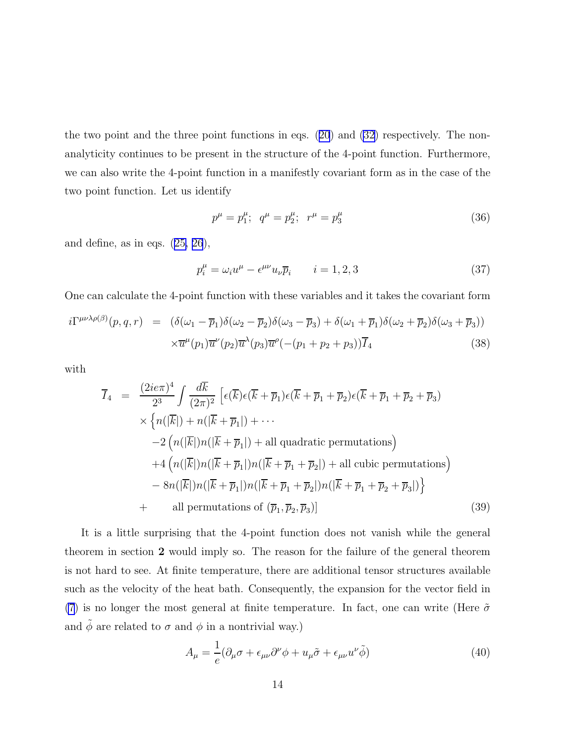<span id="page-13-0"></span>the two point and the three point functions in eqs.([20](#page-7-0)) and [\(32](#page-10-0)) respectively. The nonanalyticity continues to be present in the structure of the 4-point function. Furthermore, we can also write the 4-point function in a manifestly covariant form as in the case of the two point function. Let us identify

$$
p^{\mu} = p_1^{\mu}; \quad q^{\mu} = p_2^{\mu}; \quad r^{\mu} = p_3^{\mu}
$$
\n(36)

anddefine, as in eqs.  $(25, 26)$  $(25, 26)$  $(25, 26)$ ,

$$
p_i^{\mu} = \omega_i u^{\mu} - \epsilon^{\mu \nu} u_{\nu} \overline{p}_i \qquad i = 1, 2, 3 \tag{37}
$$

One can calculate the 4-point function with these variables and it takes the covariant form

$$
i\Gamma^{\mu\nu\lambda\rho(\beta)}(p,q,r) = (\delta(\omega_1 - \overline{p}_1)\delta(\omega_2 - \overline{p}_2)\delta(\omega_3 - \overline{p}_3) + \delta(\omega_1 + \overline{p}_1)\delta(\omega_2 + \overline{p}_2)\delta(\omega_3 + \overline{p}_3))
$$

$$
\times \overline{u}^{\mu}(p_1)\overline{u}^{\nu}(p_2)\overline{u}^{\lambda}(p_3)\overline{u}^{\rho}(-(p_1 + p_2 + p_3))\overline{I}_4
$$
(38)

with

$$
\overline{I}_4 = \frac{(2ie\pi)^4}{2^3} \int \frac{d\overline{k}}{(2\pi)^2} \left[ \epsilon(\overline{k})\epsilon(\overline{k} + \overline{p}_1)\epsilon(\overline{k} + \overline{p}_1 + \overline{p}_2)\epsilon(\overline{k} + \overline{p}_1 + \overline{p}_2 + \overline{p}_3) \right] \times \left\{ n(|\overline{k}|) + n(|\overline{k} + \overline{p}_1|) + \cdots \right.
$$
\n
$$
-2 \left( n(|\overline{k}|)n(|\overline{k} + \overline{p}_1|) + \text{all quadratic permutations} \right) \right.
$$
\n
$$
+4 \left( n(|\overline{k}|)n(|\overline{k} + \overline{p}_1|)n(|\overline{k} + \overline{p}_1 + \overline{p}_2|) + \text{all cubic permutations} \right) \right.
$$
\n
$$
-8n(|\overline{k}|)n(|\overline{k} + \overline{p}_1|)n(|\overline{k} + \overline{p}_1 + \overline{p}_2|)n(|\overline{k} + \overline{p}_1 + \overline{p}_2 + \overline{p}_3|) \right\}
$$
\n
$$
+ \text{all permutations of } (\overline{p}_1, \overline{p}_2, \overline{p}_3)] \tag{39}
$$

It is a little surprising that the 4-point function does not vanish while the general theorem in section 2 would imply so. The reason for the failure of the general theorem is not hard to see. At finite temperature, there are additional tensor structures available such as the velocity of the heat bath. Consequently, the expansion for the vector field in [\(7](#page-4-0)) is no longer the most general at finite temperature. In fact, one can write (Here  $\tilde{\sigma}$ and  $\phi$  are related to  $\sigma$  and  $\phi$  in a nontrivial way.)

$$
A_{\mu} = \frac{1}{e} (\partial_{\mu} \sigma + \epsilon_{\mu\nu} \partial^{\nu} \phi + u_{\mu} \tilde{\sigma} + \epsilon_{\mu\nu} u^{\nu} \tilde{\phi})
$$
(40)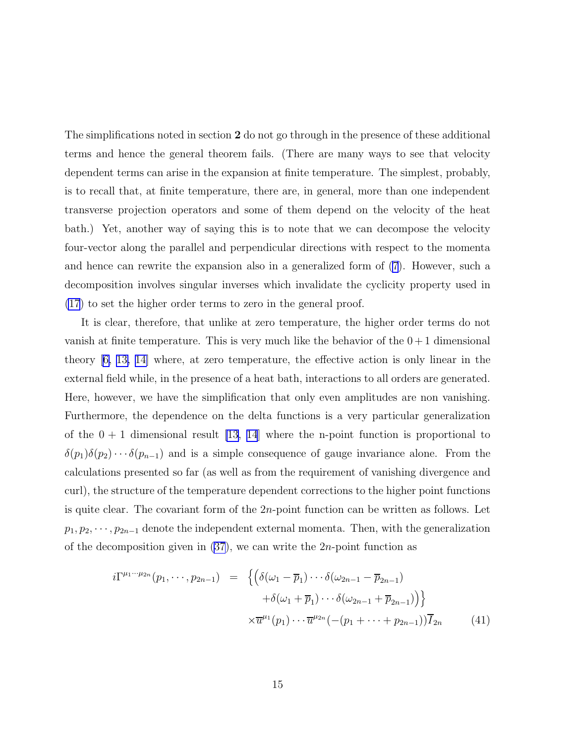The simplifications noted in section 2 do not go through in the presence of these additional terms and hence the general theorem fails. (There are many ways to see that velocity dependent terms can arise in the expansion at finite temperature. The simplest, probably, is to recall that, at finite temperature, there are, in general, more than one independent transverse projection operators and some of them depend on the velocity of the heat bath.) Yet, another way of saying this is to note that we can decompose the velocity four-vector along the parallel and perpendicular directions with respect to the momenta and hence can rewrite the expansion also in a generalized form of [\(7](#page-4-0)). However, such a decomposition involves singular inverses which invalidate the cyclicity property used in [\(17](#page-6-0)) to set the higher order terms to zero in the general proof.

It is clear, therefore, that unlike at zero temperature, the higher order terms do not vanish at finite temperature. This is very much like the behavior of the  $0+1$  dimensional theory[[6, 13, 14\]](#page-19-0) where, at zero temperature, the effective action is only linear in the external field while, in the presence of a heat bath, interactions to all orders are generated. Here, however, we have the simplification that only even amplitudes are non vanishing. Furthermore, the dependence on the delta functions is a very particular generalization of the  $0 + 1$  dimensional result [\[13, 14](#page-19-0)] where the n-point function is proportional to  $\delta(p_1)\delta(p_2)\cdots\delta(p_{n-1})$  and is a simple consequence of gauge invariance alone. From the calculations presented so far (as well as from the requirement of vanishing divergence and curl), the structure of the temperature dependent corrections to the higher point functions is quite clear. The covariant form of the 2n-point function can be written as follows. Let  $p_1, p_2, \dots, p_{2n-1}$  denote the independent external momenta. Then, with the generalization of the decomposition given in  $(37)$ , we can write the 2*n*-point function as

$$
i\Gamma^{\mu_1\cdots\mu_{2n}}(p_1,\dots,p_{2n-1}) = \left\{ \left( \delta(\omega_1 - \overline{p}_1) \cdots \delta(\omega_{2n-1} - \overline{p}_{2n-1}) + \delta(\omega_1 + \overline{p}_1) \cdots \delta(\omega_{2n-1} + \overline{p}_{2n-1}) \right) \right\}
$$

$$
\times \overline{u}^{\mu_1}(p_1) \cdots \overline{u}^{\mu_{2n}}(-(p_1 + \cdots + p_{2n-1})) \overline{I}_{2n} \qquad (41)
$$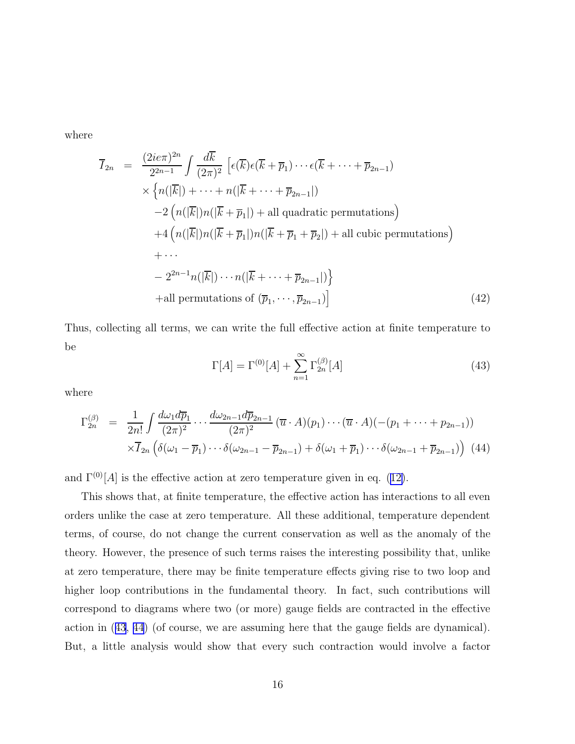<span id="page-15-0"></span>where

$$
\overline{I}_{2n} = \frac{(2ie\pi)^{2n}}{2^{2n-1}} \int \frac{d\overline{k}}{(2\pi)^2} \left[ \epsilon(\overline{k})\epsilon(\overline{k} + \overline{p}_1) \cdots \epsilon(\overline{k} + \cdots + \overline{p}_{2n-1}) \right. \times \left\{ n(|\overline{k}|) + \cdots + n(|\overline{k} + \cdots + \overline{p}_{2n-1}|) \right. \left. - 2\left( n(|\overline{k}|)n(|\overline{k} + \overline{p}_1|) + \text{all quadratic permutations} \right) \right. \left. + 4\left( n(|\overline{k}|)n(|\overline{k} + \overline{p}_1|)n(|\overline{k} + \overline{p}_1 + \overline{p}_2|) + \text{all cubic permutations} \right) \right. \left. + \cdots \right. \left. - 2^{2n-1}n(|\overline{k}|) \cdots n(|\overline{k} + \cdots + \overline{p}_{2n-1}|) \right\} \left. + \text{all permutations of } (\overline{p}_1, \cdots, \overline{p}_{2n-1}) \right] \tag{42}
$$

Thus, collecting all terms, we can write the full effective action at finite temperature to be

$$
\Gamma[A] = \Gamma^{(0)}[A] + \sum_{n=1}^{\infty} \Gamma_{2n}^{(\beta)}[A]
$$
\n(43)

where

$$
\Gamma_{2n}^{(\beta)} = \frac{1}{2n!} \int \frac{d\omega_1 d\overline{p}_1}{(2\pi)^2} \cdots \frac{d\omega_{2n-1} d\overline{p}_{2n-1}}{(2\pi)^2} (\overline{u} \cdot A)(p_1) \cdots (\overline{u} \cdot A)(-(p_1 + \cdots + p_{2n-1}))
$$
  
 
$$
\times \overline{I}_{2n} \left( \delta(\omega_1 - \overline{p}_1) \cdots \delta(\omega_{2n-1} - \overline{p}_{2n-1}) + \delta(\omega_1 + \overline{p}_1) \cdots \delta(\omega_{2n-1} + \overline{p}_{2n-1}) \right) (44)
$$

and $\Gamma^{(0)}[A]$  is the effective action at zero temperature given in eq. ([12\)](#page-5-0).

This shows that, at finite temperature, the effective action has interactions to all even orders unlike the case at zero temperature. All these additional, temperature dependent terms, of course, do not change the current conservation as well as the anomaly of the theory. However, the presence of such terms raises the interesting possibility that, unlike at zero temperature, there may be finite temperature effects giving rise to two loop and higher loop contributions in the fundamental theory. In fact, such contributions will correspond to diagrams where two (or more) gauge fields are contracted in the effective action in (43, 44) (of course, we are assuming here that the gauge fields are dynamical). But, a little analysis would show that every such contraction would involve a factor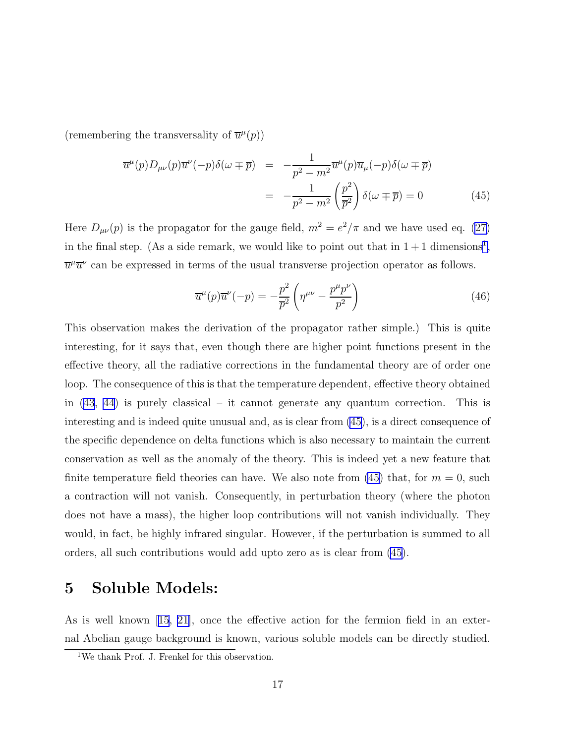(remembering the transversality of  $\overline{u}^{\mu}(p)$ )

$$
\overline{u}^{\mu}(p)D_{\mu\nu}(p)\overline{u}^{\nu}(-p)\delta(\omega \mp \overline{p}) = -\frac{1}{p^{2} - m^{2}}\overline{u}^{\mu}(p)\overline{u}_{\mu}(-p)\delta(\omega \mp \overline{p})
$$

$$
= -\frac{1}{p^{2} - m^{2}}\left(\frac{p^{2}}{\overline{p}^{2}}\right)\delta(\omega \mp \overline{p}) = 0 \qquad (45)
$$

Here  $D_{\mu\nu}(p)$  is the propagator for the gauge field,  $m^2 = e^2/\pi$  and we have used eq. [\(27\)](#page-9-0) in the final step. (As a side remark, we would like to point out that in  $1+1$  dimensions<sup>1</sup>,  $\overline{u}^{\mu} \overline{u}^{\nu}$  can be expressed in terms of the usual transverse projection operator as follows.

$$
\overline{u}^{\mu}(p)\overline{u}^{\nu}(-p) = -\frac{p^2}{\overline{p}^2} \left(\eta^{\mu\nu} - \frac{p^{\mu}p^{\nu}}{p^2}\right)
$$
\n(46)

This observation makes the derivation of the propagator rather simple.) This is quite interesting, for it says that, even though there are higher point functions present in the effective theory, all the radiative corrections in the fundamental theory are of order one loop. The consequence of this is that the temperature dependent, effective theory obtained in [\(43, 44](#page-15-0)) is purely classical – it cannot generate any quantum correction. This is interesting and is indeed quite unusual and, as is clear from (45), is a direct consequence of the specific dependence on delta functions which is also necessary to maintain the current conservation as well as the anomaly of the theory. This is indeed yet a new feature that finite temperature field theories can have. We also note from  $(45)$  that, for  $m = 0$ , such a contraction will not vanish. Consequently, in perturbation theory (where the photon does not have a mass), the higher loop contributions will not vanish individually. They would, in fact, be highly infrared singular. However, if the perturbation is summed to all orders, all such contributions would add upto zero as is clear from (45).

#### 5 Soluble Models:

As is well known[[15](#page-20-0), [21\]](#page-20-0), once the effective action for the fermion field in an external Abelian gauge background is known, various soluble models can be directly studied.

<sup>&</sup>lt;sup>1</sup>We thank Prof. J. Frenkel for this observation.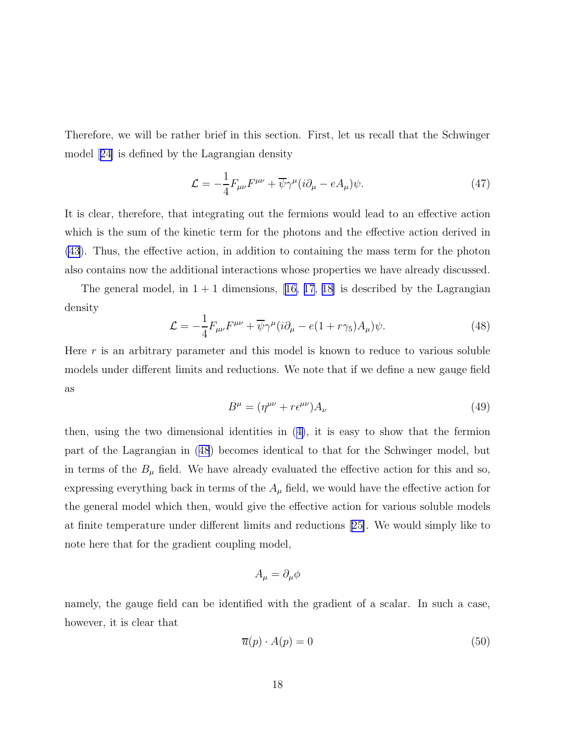Therefore, we will be rather brief in this section. First, let us recall that the Schwinger model[[24\]](#page-20-0) is defined by the Lagrangian density

$$
\mathcal{L} = -\frac{1}{4} F_{\mu\nu} F^{\mu\nu} + \overline{\psi} \gamma^{\mu} (i\partial_{\mu} - eA_{\mu}) \psi.
$$
 (47)

It is clear, therefore, that integrating out the fermions would lead to an effective action which is the sum of the kinetic term for the photons and the effective action derived in [\(43](#page-15-0)). Thus, the effective action, in addition to containing the mass term for the photon also contains now the additional interactions whose properties we have already discussed.

Thegeneral model, in  $1 + 1$  dimensions, [[16, 17](#page-20-0), [18\]](#page-20-0) is described by the Lagrangian density

$$
\mathcal{L} = -\frac{1}{4} F_{\mu\nu} F^{\mu\nu} + \overline{\psi} \gamma^{\mu} (i\partial_{\mu} - e(1 + r\gamma_5) A_{\mu}) \psi.
$$
 (48)

Here  $r$  is an arbitrary parameter and this model is known to reduce to various soluble models under different limits and reductions. We note that if we define a new gauge field as

$$
B^{\mu} = (\eta^{\mu\nu} + r\epsilon^{\mu\nu})A_{\nu}
$$
\n(49)

then, using the two dimensional identities in([4\)](#page-4-0), it is easy to show that the fermion part of the Lagrangian in (48) becomes identical to that for the Schwinger model, but in terms of the  $B_{\mu}$  field. We have already evaluated the effective action for this and so, expressing everything back in terms of the  $A_\mu$  field, we would have the effective action for the general model which then, would give the effective action for various soluble models at finite temperature under different limits and reductions[[25\]](#page-20-0). We would simply like to note here that for the gradient coupling model,

$$
A_{\mu} = \partial_{\mu}\phi
$$

namely, the gauge field can be identified with the gradient of a scalar. In such a case, however, it is clear that

$$
\overline{u}(p) \cdot A(p) = 0 \tag{50}
$$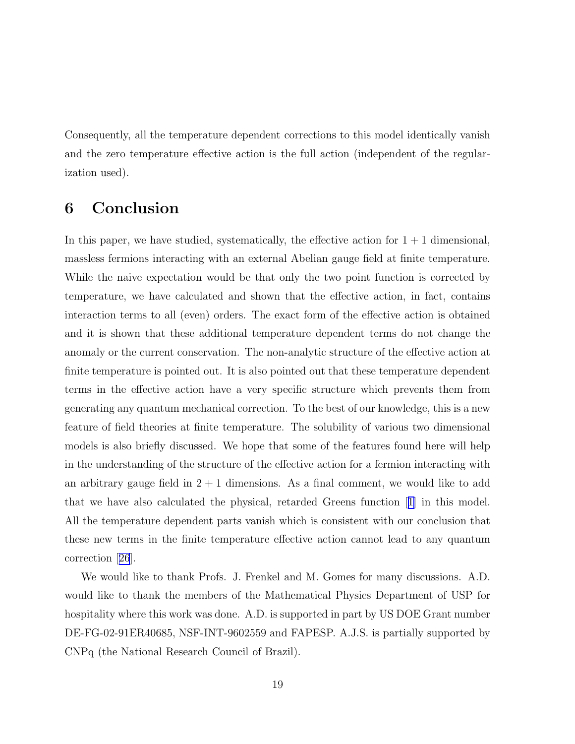Consequently, all the temperature dependent corrections to this model identically vanish and the zero temperature effective action is the full action (independent of the regularization used).

# 6 Conclusion

In this paper, we have studied, systematically, the effective action for  $1 + 1$  dimensional, massless fermions interacting with an external Abelian gauge field at finite temperature. While the naive expectation would be that only the two point function is corrected by temperature, we have calculated and shown that the effective action, in fact, contains interaction terms to all (even) orders. The exact form of the effective action is obtained and it is shown that these additional temperature dependent terms do not change the anomaly or the current conservation. The non-analytic structure of the effective action at finite temperature is pointed out. It is also pointed out that these temperature dependent terms in the effective action have a very specific structure which prevents them from generating any quantum mechanical correction. To the best of our knowledge, this is a new feature of field theories at finite temperature. The solubility of various two dimensional models is also briefly discussed. We hope that some of the features found here will help in the understanding of the structure of the effective action for a fermion interacting with an arbitrary gauge field in  $2 + 1$  dimensions. As a final comment, we would like to add that we have also calculated the physical, retarded Greens function[[1\]](#page-19-0) in this model. All the temperature dependent parts vanish which is consistent with our conclusion that these new terms in the finite temperature effective action cannot lead to any quantum correction[[26](#page-20-0)].

We would like to thank Profs. J. Frenkel and M. Gomes for many discussions. A.D. would like to thank the members of the Mathematical Physics Department of USP for hospitality where this work was done. A.D. is supported in part by US DOE Grant number DE-FG-02-91ER40685, NSF-INT-9602559 and FAPESP. A.J.S. is partially supported by CNPq (the National Research Council of Brazil).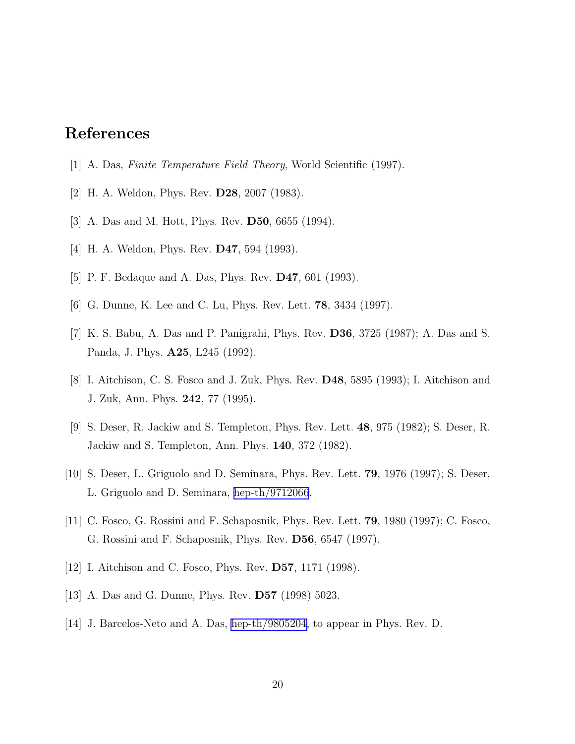# <span id="page-19-0"></span>References

- [1] A. Das, Finite Temperature Field Theory, World Scientific (1997).
- [2] H. A. Weldon, Phys. Rev. D28, 2007 (1983).
- [3] A. Das and M. Hott, Phys. Rev. D50, 6655 (1994).
- [4] H. A. Weldon, Phys. Rev. D47, 594 (1993).
- [5] P. F. Bedaque and A. Das, Phys. Rev. D47, 601 (1993).
- [6] G. Dunne, K. Lee and C. Lu, Phys. Rev. Lett. 78, 3434 (1997).
- [7] K. S. Babu, A. Das and P. Panigrahi, Phys. Rev. D36, 3725 (1987); A. Das and S. Panda, J. Phys. A25, L245 (1992).
- [8] I. Aitchison, C. S. Fosco and J. Zuk, Phys. Rev. D48, 5895 (1993); I. Aitchison and J. Zuk, Ann. Phys. 242, 77 (1995).
- [9] S. Deser, R. Jackiw and S. Templeton, Phys. Rev. Lett. 48, 975 (1982); S. Deser, R. Jackiw and S. Templeton, Ann. Phys. 140, 372 (1982).
- [10] S. Deser, L. Griguolo and D. Seminara, Phys. Rev. Lett. 79, 1976 (1997); S. Deser, L. Griguolo and D. Seminara, [hep-th/9712066](http://arxiv.org/abs/hep-th/9712066).
- [11] C. Fosco, G. Rossini and F. Schaposnik, Phys. Rev. Lett. 79, 1980 (1997); C. Fosco, G. Rossini and F. Schaposnik, Phys. Rev. D56, 6547 (1997).
- [12] I. Aitchison and C. Fosco, Phys. Rev. **D57**, 1171 (1998).
- [13] A. Das and G. Dunne, Phys. Rev. D57 (1998) 5023.
- [14] J. Barcelos-Neto and A. Das, [hep-th/9805204,](http://arxiv.org/abs/hep-th/9805204) to appear in Phys. Rev. D.